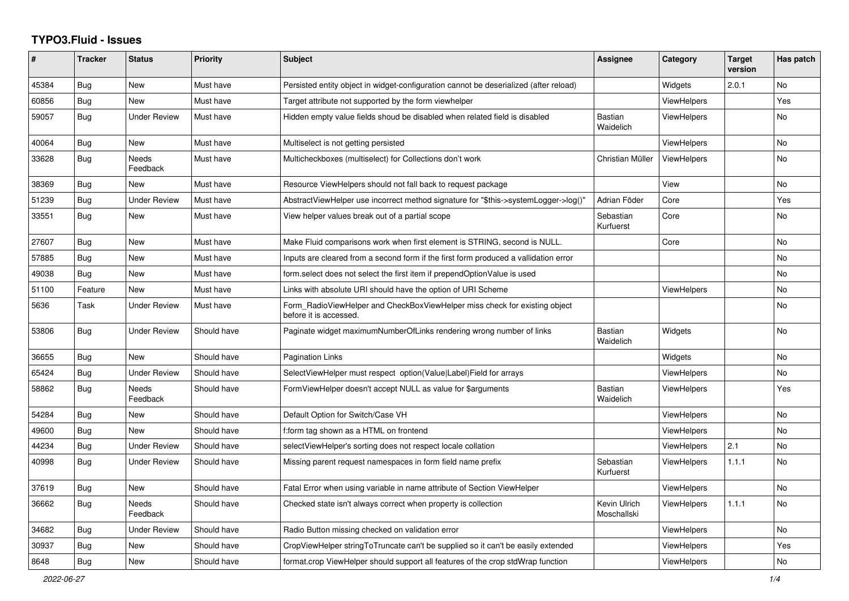## **TYPO3.Fluid - Issues**

| #     | <b>Tracker</b> | <b>Status</b>       | <b>Priority</b> | <b>Subject</b>                                                                                       | Assignee                    | Category           | <b>Target</b><br>version | Has patch      |
|-------|----------------|---------------------|-----------------|------------------------------------------------------------------------------------------------------|-----------------------------|--------------------|--------------------------|----------------|
| 45384 | Bug            | New                 | Must have       | Persisted entity object in widget-configuration cannot be deserialized (after reload)                |                             | Widgets            | 2.0.1                    | <b>No</b>      |
| 60856 | Bug            | New                 | Must have       | Target attribute not supported by the form viewhelper                                                |                             | <b>ViewHelpers</b> |                          | Yes            |
| 59057 | Bug            | <b>Under Review</b> | Must have       | Hidden empty value fields shoud be disabled when related field is disabled                           | <b>Bastian</b><br>Waidelich | <b>ViewHelpers</b> |                          | <b>No</b>      |
| 40064 | Bug            | New                 | Must have       | Multiselect is not getting persisted                                                                 |                             | <b>ViewHelpers</b> |                          | No             |
| 33628 | <b>Bug</b>     | Needs<br>Feedback   | Must have       | Multicheckboxes (multiselect) for Collections don't work                                             | Christian Müller            | <b>ViewHelpers</b> |                          | No             |
| 38369 | Bug            | <b>New</b>          | Must have       | Resource ViewHelpers should not fall back to request package                                         |                             | View               |                          | N <sub>o</sub> |
| 51239 | Bug            | <b>Under Review</b> | Must have       | AbstractViewHelper use incorrect method signature for "\$this->systemLogger->log()"                  | Adrian Föder                | Core               |                          | Yes            |
| 33551 | Bug            | New                 | Must have       | View helper values break out of a partial scope                                                      | Sebastian<br>Kurfuerst      | Core               |                          | <b>No</b>      |
| 27607 | Bug            | New                 | Must have       | Make Fluid comparisons work when first element is STRING, second is NULL.                            |                             | Core               |                          | <b>No</b>      |
| 57885 | Bug            | New                 | Must have       | Inputs are cleared from a second form if the first form produced a vallidation error                 |                             |                    |                          | No             |
| 49038 | Bug            | <b>New</b>          | Must have       | form select does not select the first item if prependOptionValue is used                             |                             |                    |                          | No             |
| 51100 | Feature        | <b>New</b>          | Must have       | Links with absolute URI should have the option of URI Scheme                                         |                             | <b>ViewHelpers</b> |                          | No             |
| 5636  | Task           | <b>Under Review</b> | Must have       | Form RadioViewHelper and CheckBoxViewHelper miss check for existing object<br>before it is accessed. |                             |                    |                          | <b>No</b>      |
| 53806 | Bug            | <b>Under Review</b> | Should have     | Paginate widget maximumNumberOfLinks rendering wrong number of links                                 | Bastian<br>Waidelich        | Widgets            |                          | <b>No</b>      |
| 36655 | Bug            | New                 | Should have     | <b>Pagination Links</b>                                                                              |                             | Widgets            |                          | <b>No</b>      |
| 65424 | <b>Bug</b>     | <b>Under Review</b> | Should have     | SelectViewHelper must respect option(Value Label)Field for arrays                                    |                             | ViewHelpers        |                          | No             |
| 58862 | Bug            | Needs<br>Feedback   | Should have     | FormViewHelper doesn't accept NULL as value for \$arguments                                          | <b>Bastian</b><br>Waidelich | ViewHelpers        |                          | Yes            |
| 54284 | Bug            | New                 | Should have     | Default Option for Switch/Case VH                                                                    |                             | <b>ViewHelpers</b> |                          | No             |
| 49600 | Bug            | <b>New</b>          | Should have     | f:form tag shown as a HTML on frontend                                                               |                             | <b>ViewHelpers</b> |                          | No             |
| 44234 | Bug            | <b>Under Review</b> | Should have     | selectViewHelper's sorting does not respect locale collation                                         |                             | <b>ViewHelpers</b> | 2.1                      | N <sub>o</sub> |
| 40998 | Bug            | <b>Under Review</b> | Should have     | Missing parent request namespaces in form field name prefix                                          | Sebastian<br>Kurfuerst      | <b>ViewHelpers</b> | 1.1.1                    | <b>No</b>      |
| 37619 | Bug            | <b>New</b>          | Should have     | Fatal Error when using variable in name attribute of Section ViewHelper                              |                             | ViewHelpers        |                          | <b>No</b>      |
| 36662 | Bug            | Needs<br>Feedback   | Should have     | Checked state isn't always correct when property is collection                                       | Kevin Ulrich<br>Moschallski | <b>ViewHelpers</b> | 1.1.1                    | <b>No</b>      |
| 34682 | Bug            | <b>Under Review</b> | Should have     | Radio Button missing checked on validation error                                                     |                             | ViewHelpers        |                          | <b>No</b>      |
| 30937 | Bug            | New                 | Should have     | CropViewHelper stringToTruncate can't be supplied so it can't be easily extended                     |                             | <b>ViewHelpers</b> |                          | Yes            |
| 8648  | Bug            | New                 | Should have     | format.crop ViewHelper should support all features of the crop stdWrap function                      |                             | <b>ViewHelpers</b> |                          | No             |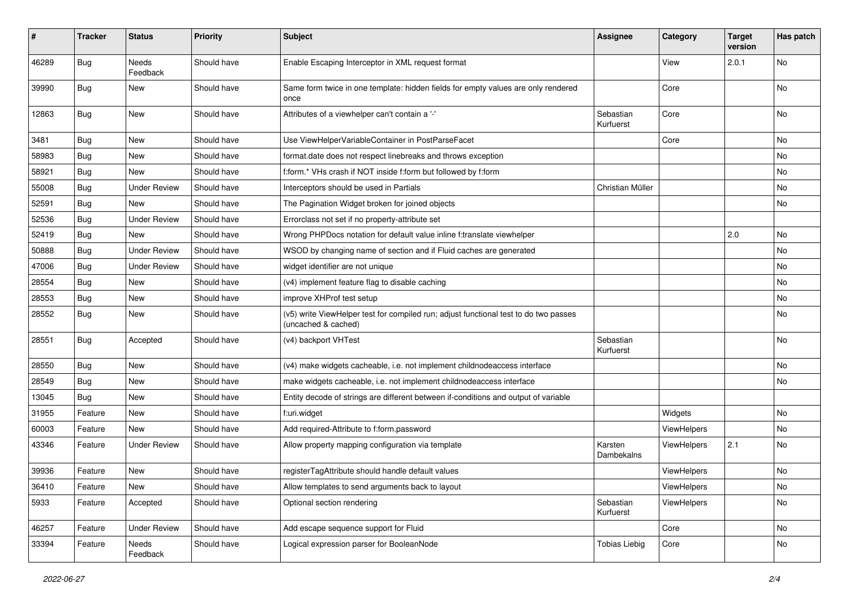| #     | <b>Tracker</b> | <b>Status</b>            | <b>Priority</b> | Subject                                                                                                     | <b>Assignee</b>        | Category    | <b>Target</b><br>version | Has patch |
|-------|----------------|--------------------------|-----------------|-------------------------------------------------------------------------------------------------------------|------------------------|-------------|--------------------------|-----------|
| 46289 | Bug            | <b>Needs</b><br>Feedback | Should have     | Enable Escaping Interceptor in XML request format                                                           |                        | View        | 2.0.1                    | No        |
| 39990 | Bug            | New                      | Should have     | Same form twice in one template: hidden fields for empty values are only rendered<br>once                   |                        | Core        |                          | No        |
| 12863 | Bug            | New                      | Should have     | Attributes of a viewhelper can't contain a '-'                                                              | Sebastian<br>Kurfuerst | Core        |                          | No        |
| 3481  | Bug            | New                      | Should have     | Use ViewHelperVariableContainer in PostParseFacet                                                           |                        | Core        |                          | No        |
| 58983 | <b>Bug</b>     | New                      | Should have     | format.date does not respect linebreaks and throws exception                                                |                        |             |                          | No        |
| 58921 | <b>Bug</b>     | New                      | Should have     | f:form.* VHs crash if NOT inside f:form but followed by f:form                                              |                        |             |                          | No        |
| 55008 | Bug            | <b>Under Review</b>      | Should have     | Interceptors should be used in Partials                                                                     | Christian Müller       |             |                          | No        |
| 52591 | Bug            | New                      | Should have     | The Pagination Widget broken for joined objects                                                             |                        |             |                          | No        |
| 52536 | Bug            | <b>Under Review</b>      | Should have     | Errorclass not set if no property-attribute set                                                             |                        |             |                          |           |
| 52419 | <b>Bug</b>     | New                      | Should have     | Wrong PHPDocs notation for default value inline f:translate viewhelper                                      |                        |             | 2.0                      | No        |
| 50888 | Bug            | <b>Under Review</b>      | Should have     | WSOD by changing name of section and if Fluid caches are generated                                          |                        |             |                          | No        |
| 47006 | Bug            | <b>Under Review</b>      | Should have     | widget identifier are not unique                                                                            |                        |             |                          | No        |
| 28554 | Bug            | New                      | Should have     | (v4) implement feature flag to disable caching                                                              |                        |             |                          | No        |
| 28553 | Bug            | New                      | Should have     | improve XHProf test setup                                                                                   |                        |             |                          | No        |
| 28552 | Bug            | New                      | Should have     | (v5) write ViewHelper test for compiled run; adjust functional test to do two passes<br>(uncached & cached) |                        |             |                          | No        |
| 28551 | Bug            | Accepted                 | Should have     | (v4) backport VHTest                                                                                        | Sebastian<br>Kurfuerst |             |                          | No        |
| 28550 | <b>Bug</b>     | <b>New</b>               | Should have     | (v4) make widgets cacheable, i.e. not implement childnodeaccess interface                                   |                        |             |                          | No        |
| 28549 | Bug            | New                      | Should have     | make widgets cacheable, i.e. not implement childnodeaccess interface                                        |                        |             |                          | No        |
| 13045 | Bug            | New                      | Should have     | Entity decode of strings are different between if-conditions and output of variable                         |                        |             |                          |           |
| 31955 | Feature        | New                      | Should have     | f:uri.widget                                                                                                |                        | Widgets     |                          | No        |
| 60003 | Feature        | New                      | Should have     | Add required-Attribute to f:form.password                                                                   |                        | ViewHelpers |                          | No        |
| 43346 | Feature        | <b>Under Review</b>      | Should have     | Allow property mapping configuration via template                                                           | Karsten<br>Dambekalns  | ViewHelpers | 2.1                      | No        |
| 39936 | Feature        | New                      | Should have     | registerTagAttribute should handle default values                                                           |                        | ViewHelpers |                          | No        |
| 36410 | Feature        | New                      | Should have     | Allow templates to send arguments back to layout                                                            |                        | ViewHelpers |                          | No        |
| 5933  | Feature        | Accepted                 | Should have     | Optional section rendering                                                                                  | Sebastian<br>Kurfuerst | ViewHelpers |                          | No        |
| 46257 | Feature        | <b>Under Review</b>      | Should have     | Add escape sequence support for Fluid                                                                       |                        | Core        |                          | No        |
| 33394 | Feature        | Needs<br>Feedback        | Should have     | Logical expression parser for BooleanNode                                                                   | <b>Tobias Liebig</b>   | Core        |                          | No        |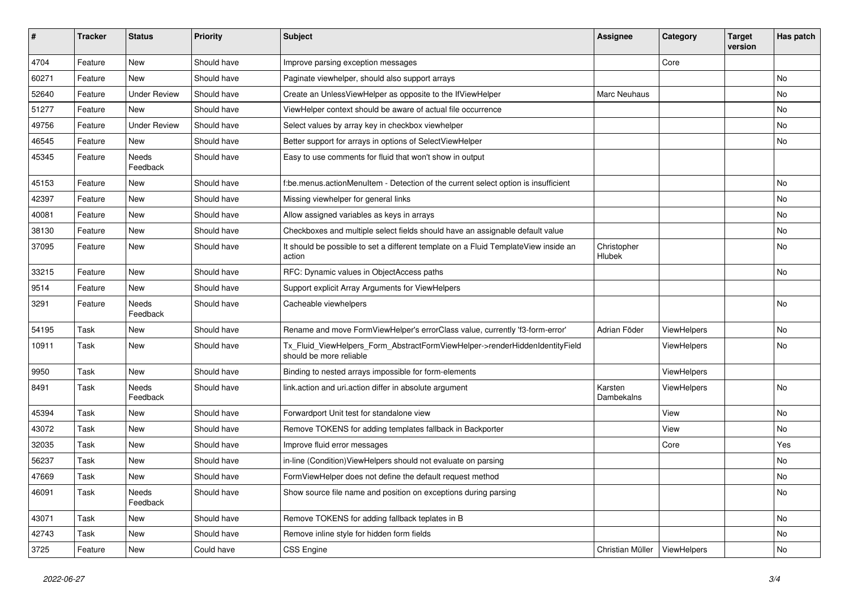| #     | <b>Tracker</b> | <b>Status</b>       | <b>Priority</b> | <b>Subject</b>                                                                                         | <b>Assignee</b>       | Category    | <b>Target</b><br>version | Has patch |
|-------|----------------|---------------------|-----------------|--------------------------------------------------------------------------------------------------------|-----------------------|-------------|--------------------------|-----------|
| 4704  | Feature        | New                 | Should have     | Improve parsing exception messages                                                                     |                       | Core        |                          |           |
| 60271 | Feature        | New                 | Should have     | Paginate viewhelper, should also support arrays                                                        |                       |             |                          | No        |
| 52640 | Feature        | <b>Under Review</b> | Should have     | Create an UnlessViewHelper as opposite to the IfViewHelper                                             | Marc Neuhaus          |             |                          | No        |
| 51277 | Feature        | New                 | Should have     | ViewHelper context should be aware of actual file occurrence                                           |                       |             |                          | No        |
| 49756 | Feature        | <b>Under Review</b> | Should have     | Select values by array key in checkbox viewhelper                                                      |                       |             |                          | No        |
| 46545 | Feature        | New                 | Should have     | Better support for arrays in options of SelectViewHelper                                               |                       |             |                          | No        |
| 45345 | Feature        | Needs<br>Feedback   | Should have     | Easy to use comments for fluid that won't show in output                                               |                       |             |                          |           |
| 45153 | Feature        | New                 | Should have     | f:be.menus.actionMenuItem - Detection of the current select option is insufficient                     |                       |             |                          | No        |
| 42397 | Feature        | New                 | Should have     | Missing viewhelper for general links                                                                   |                       |             |                          | No        |
| 40081 | Feature        | New                 | Should have     | Allow assigned variables as keys in arrays                                                             |                       |             |                          | No        |
| 38130 | Feature        | New                 | Should have     | Checkboxes and multiple select fields should have an assignable default value                          |                       |             |                          | No        |
| 37095 | Feature        | New                 | Should have     | It should be possible to set a different template on a Fluid TemplateView inside an<br>action          | Christopher<br>Hlubek |             |                          | No        |
| 33215 | Feature        | New                 | Should have     | RFC: Dynamic values in ObjectAccess paths                                                              |                       |             |                          | No        |
| 9514  | Feature        | New                 | Should have     | Support explicit Array Arguments for ViewHelpers                                                       |                       |             |                          |           |
| 3291  | Feature        | Needs<br>Feedback   | Should have     | Cacheable viewhelpers                                                                                  |                       |             |                          | No        |
| 54195 | Task           | New                 | Should have     | Rename and move FormViewHelper's errorClass value, currently 'f3-form-error'                           | Adrian Föder          | ViewHelpers |                          | No        |
| 10911 | Task           | New                 | Should have     | Tx_Fluid_ViewHelpers_Form_AbstractFormViewHelper->renderHiddenIdentityField<br>should be more reliable |                       | ViewHelpers |                          | No        |
| 9950  | Task           | New                 | Should have     | Binding to nested arrays impossible for form-elements                                                  |                       | ViewHelpers |                          |           |
| 8491  | Task           | Needs<br>Feedback   | Should have     | link.action and uri.action differ in absolute argument                                                 | Karsten<br>Dambekalns | ViewHelpers |                          | No        |
| 45394 | Task           | New                 | Should have     | Forwardport Unit test for standalone view                                                              |                       | View        |                          | No        |
| 43072 | Task           | New                 | Should have     | Remove TOKENS for adding templates fallback in Backporter                                              |                       | View        |                          | No        |
| 32035 | Task           | New                 | Should have     | Improve fluid error messages                                                                           |                       | Core        |                          | Yes       |
| 56237 | Task           | New                 | Should have     | in-line (Condition) ViewHelpers should not evaluate on parsing                                         |                       |             |                          | No        |
| 47669 | Task           | New                 | Should have     | FormViewHelper does not define the default request method                                              |                       |             |                          | No        |
| 46091 | Task           | Needs<br>Feedback   | Should have     | Show source file name and position on exceptions during parsing                                        |                       |             |                          | No        |
| 43071 | Task           | New                 | Should have     | Remove TOKENS for adding fallback teplates in B                                                        |                       |             |                          | No        |
| 42743 | Task           | New                 | Should have     | Remove inline style for hidden form fields                                                             |                       |             |                          | No        |
| 3725  | Feature        | New                 | Could have      | CSS Engine                                                                                             | Christian Müller      | ViewHelpers |                          | No        |